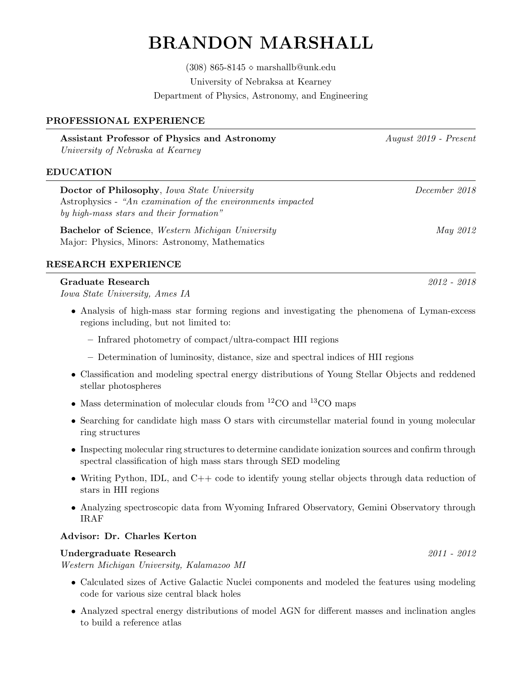# BRANDON MARSHALL

 $(308)$  865-8145  $\diamond$  marshallb@unk.edu University of Nebraksa at Kearney Department of Physics, Astronomy, and Engineering

## PROFESSIONAL EXPERIENCE

| Assistant Professor of Physics and Astronomy |  |
|----------------------------------------------|--|
| University of Nebraska at Kearney            |  |

## EDUCATION

Doctor of Philosophy, Iowa State University December 2018 Astrophysics - "An examination of the environments impacted by high-mass stars and their formation"

**Bachelor of Science**, Western Michigan University May 2012 Major: Physics, Minors: Astronomy, Mathematics

### RESEARCH EXPERIENCE

### Graduate Research 2012 - 2018

Iowa State University, Ames IA

- Analysis of high-mass star forming regions and investigating the phenomena of Lyman-excess regions including, but not limited to:
	- Infrared photometry of compact/ultra-compact HII regions
	- Determination of luminosity, distance, size and spectral indices of HII regions
- Classification and modeling spectral energy distributions of Young Stellar Objects and reddened stellar photospheres
- Mass determination of molecular clouds from  ${}^{12}CO$  and  ${}^{13}CO$  maps
- Searching for candidate high mass O stars with circumstellar material found in young molecular ring structures
- Inspecting molecular ring structures to determine candidate ionization sources and confirm through spectral classification of high mass stars through SED modeling
- Writing Python, IDL, and C++ code to identify young stellar objects through data reduction of stars in HII regions
- Analyzing spectroscopic data from Wyoming Infrared Observatory, Gemini Observatory through IRAF

# Advisor: Dr. Charles Kerton

### Undergraduate Research 2011 - 2012

Western Michigan University, Kalamazoo MI

- Calculated sizes of Active Galactic Nuclei components and modeled the features using modeling code for various size central black holes
- Analyzed spectral energy distributions of model AGN for different masses and inclination angles to build a reference atlas

Assistant Professor of Physics and Astronomy August 2019 - Present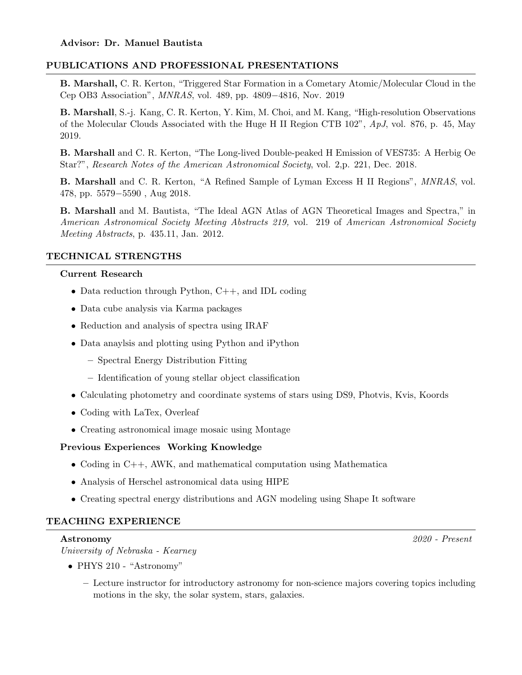# PUBLICATIONS AND PROFESSIONAL PRESENTATIONS

B. Marshall, C. R. Kerton, "Triggered Star Formation in a Cometary Atomic/Molecular Cloud in the Cep OB3 Association", MNRAS, vol. 489, pp. 4809−4816, Nov. 2019

B. Marshall, S.-j. Kang, C. R. Kerton, Y. Kim, M. Choi, and M. Kang, "High-resolution Observations of the Molecular Clouds Associated with the Huge H II Region CTB 102", ApJ, vol. 876, p. 45, May 2019.

B. Marshall and C. R. Kerton, "The Long-lived Double-peaked H Emission of VES735: A Herbig Oe Star?", Research Notes of the American Astronomical Society, vol. 2,p. 221, Dec. 2018.

B. Marshall and C. R. Kerton, "A Refined Sample of Lyman Excess H II Regions", MNRAS, vol. 478, pp. 5579−5590 , Aug 2018.

B. Marshall and M. Bautista, "The Ideal AGN Atlas of AGN Theoretical Images and Spectra," in American Astronomical Society Meeting Abstracts 219, vol. 219 of American Astronomical Society Meeting Abstracts, p. 435.11, Jan. 2012.

# TECHNICAL STRENGTHS

### Current Research

- Data reduction through Python, C++, and IDL coding
- Data cube analysis via Karma packages
- Reduction and analysis of spectra using IRAF
- Data anaylsis and plotting using Python and iPython
	- Spectral Energy Distribution Fitting
	- Identification of young stellar object classification
- Calculating photometry and coordinate systems of stars using DS9, Photvis, Kvis, Koords
- Coding with LaTex, Overleaf
- Creating astronomical image mosaic using Montage

# Previous Experiences Working Knowledge

- Coding in C++, AWK, and mathematical computation using Mathematica
- Analysis of Herschel astronomical data using HIPE
- Creating spectral energy distributions and AGN modeling using Shape It software

# TEACHING EXPERIENCE

Astronomy 2020 - Present

University of Nebraska - Kearney

- PHYS 210 "Astronomy"
	- Lecture instructor for introductory astronomy for non-science majors covering topics including motions in the sky, the solar system, stars, galaxies.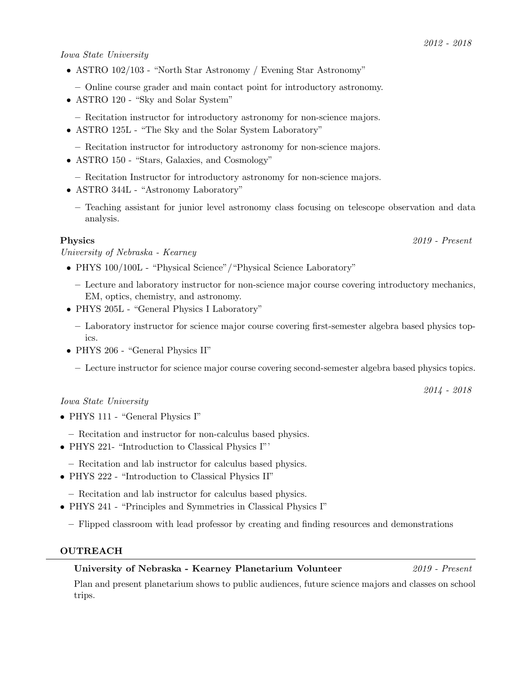# Iowa State University

- ASTRO 102/103 "North Star Astronomy / Evening Star Astronomy"
	- Online course grader and main contact point for introductory astronomy.
- ASTRO 120 "Sky and Solar System"
	- Recitation instructor for introductory astronomy for non-science majors.
- ASTRO 125L "The Sky and the Solar System Laboratory"
	- Recitation instructor for introductory astronomy for non-science majors.
- ASTRO 150 "Stars, Galaxies, and Cosmology"
	- Recitation Instructor for introductory astronomy for non-science majors.
- ASTRO 344L "Astronomy Laboratory"
	- Teaching assistant for junior level astronomy class focusing on telescope observation and data analysis.

University of Nebraska - Kearney

- PHYS 100/100L "Physical Science"/"Physical Science Laboratory"
	- Lecture and laboratory instructor for non-science major course covering introductory mechanics, EM, optics, chemistry, and astronomy.
- PHYS 205L "General Physics I Laboratory"
	- Laboratory instructor for science major course covering first-semester algebra based physics topics.
- PHYS 206 "General Physics II"
	- Lecture instructor for science major course covering second-semester algebra based physics topics.

# Iowa State University

- PHYS 111 "General Physics I"
	- Recitation and instructor for non-calculus based physics.
- PHYS 221- "Introduction to Classical Physics I"'
	- Recitation and lab instructor for calculus based physics.
- PHYS 222 "Introduction to Classical Physics II"
	- Recitation and lab instructor for calculus based physics.
- PHYS 241 "Principles and Symmetries in Classical Physics I"
	- Flipped classroom with lead professor by creating and finding resources and demonstrations

# OUTREACH

# University of Nebraska - Kearney Planetarium Volunteer 2019 - Present

Plan and present planetarium shows to public audiences, future science majors and classes on school trips.

# 2012 - 2018

Physics 2019 - Present

2014 - 2018